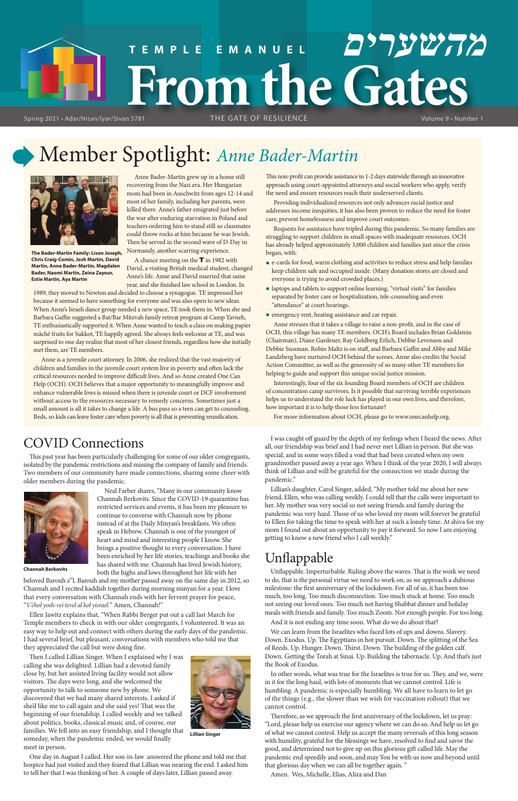## Member Spotlight: *Anne Bader-Martin*

Anne Bader-Martin grew up in a home still recovering from the Nazi era. Her Hungarian mom had been in Auschwitz from ages 12-14 and most of her family, including her parents, were killed there. Anne's father emigrated just before the war after enduring starvation in Poland and teachers ordering him to stand still so classmates could throw rocks at him because he was Jewish. Then he served in the second wave of D-Day in Normandy, another scarring experience.

A chance meeting on the T in 1982 with David, a visiting British medical student, changed Anne's life. Anne and David married that same year, and she finished law school in London. In

1989, they moved to Newton and decided to choose a synagogue. TE impressed her because it seemed to have something for everyone and was also open to new ideas. When Anne's Israeli dance group needed a new space, TE took them in. When she and Barbara Gaffin suggested a Bat/Bar Mitzvah family retreat program at Camp Yavneh, TE enthusiastically supported it. When Anne wanted to teach a class on making papier mâché fruits for Sukkot, TE happily agreed. She always feels welcome at TE, and was surprised to one day realize that most of her closest friends, regardless how she initially met them, are TE members.

Anne is a juvenile court attorney. In 2006, she realized that the vast majority of children and families in the juvenile court system live in poverty and often lack the critical resources needed to improve difficult lives. And so Anne created One Can Help (OCH). OCH believes that a major opportunity to meaningfully improve and enhance vulnerable lives is missed when there is juvenile court or DCF involvement without access to the resources necessary to remedy concerns. Sometimes just a small amount is all it takes to change a life. A bus pass so a teen can get to counseling. Beds, so kids can leave foster care when poverty is all that is preventing reunification.

#### This non-profit can provide assistance in 1-2 days statewide through an innovative approach using court-appointed attorneys and social workers who apply, verify the need and ensure resources reach their underserved clients.

Providing individualized resources not only advances racial justice and addresses income inequities, it has also been proven to reduce the need for foster care, prevent homelessness and improve court outcomes.

Requests for assistance have tripled during this pandemic. So many families are struggling to support children in small spaces with inadequate resources. OCH has already helped approximately 3,000 children and families just since the crisis began, with:

- e-cards for food, warm clothing and activities to reduce stress and help families keep children safe and occupied inside. (Many donation stores are closed and everyone is trying to avoid crowded places.)
- laptops and tablets to support online learning, "virtual visits" for families separated by foster care or hospitalization, tele-counseling and even "attendance" at court hearings.
- emergency rent, heating assistance and car repair.

# **From the Gates TEMPLE EMANUEL מהשערים**

Spring 2021 • Adar/Nisan/Iyar/Sivan 5781 THE GATE OF RESILIENCE THE WORLD Volume 9 • Number 1

THE GATE OF RESILIENCE

Anne stresses that it takes a village to raise a non-profit, and in the case of OCH, this village has many TE members. OCH's Board includes Brian Goldstein (Chairman), Diane Gardener, Ray Goldberg Erlich, Debbie Levenson and Debbie Sussman. Robin Maltz is on staff, and Barbara Gaffin and Abby and Mike Landzberg have nurtured OCH behind the scenes. Anne also credits the Social Action Committee, as well as the generosity of so many other TE members for helping to guide and support this unique social justice mission.

Interestingly, four of the six founding Board members of OCH are children of concentration camp survivors. Is it possible that surviving terrible experiences helps us to understand the role luck has played in our own lives, and therefore, how important it is to help those less fortunate?

For more information about OCH, please go to www.onecanhelp.org.

## COVID Connections

This past year has been particularly challenging for some of our older congregants, isolated by the pandemic restrictions and missing the company of family and friends. Two members of our community have made connections, sharing some cheer with older members during the pandemic.

> Neal Farber shares, "Many in our community know Channah Berkovits. Since the COVID-19 quarantine has restricted services and events, it has been my pleasure to continue to converse with Channah now by phone instead of at the Daily Minyan's breakfasts. We often speak in Hebrew. Channah is one of the youngest of heart and mind and interesting people I know. She brings a positive thought to every conversation. I have been enriched by her life stories, teachings and books she has shared with me. Channah has lived Jewish history, both the highs and lows throughout her life with her

beloved Barouh z"l. Barouh and my mother passed away on the same day in 2012, so Channah and I recited kaddish together during morning minyan for a year. I love that every conversation with Channah ends with her fervent prayer for peace, "*V'chol yosh-vei tevel al kol yisrael.*" Amen, Channah!"

Ellen Jawitz explains that, "When Rabbi Berger put out a call last March for Temple members to check in with our older congregants, I volunteered. It was an easy way to help out and connect with others during the early days of the pandemic. I had several brief, but pleasant, conversations with members who told me that they appreciated the call but were doing fine.

Then I called Lillian Singer. When I explained why I was calling she was delighted. Lillian had a devoted family close by, but her assisted living facility would not allow visitors. The days were long, and she welcomed the opportunity to talk to someone new by phone. We discovered that we had many shared interests. I asked if she'd like me to call again and she said yes! That was the beginning of our friendship. I called weekly and we talked about politics, books, classical music and, of course, our families. We fell into an easy friendship, and I thought that someday, when the pandemic ended, we would finally meet in person.

hospice had just visited and they feared that Lillian was nearing the end. I asked him to tell her that I was thinking of her. A couple of days later, Lillian passed away.



**The Bader-Martin Family: Lison Joseph, Chris Craig-Comin, Josh Martin, David Martin, Anne Bader-Martin, Magdalen Bader, Naomi Martin, Zeina Zayour, Estie Martin, Aya Martin**

I was caught off guard by the depth of my feelings when I heard the news. After all, our friendship was brief and I had never met Lillian in person. But she was special, and in some ways filled a void that had been created when my own grandmother passed away a year ago. When I think of the year 2020, I will always think of Lillian and will be grateful for the connection we made during the pandemic."

Lillian's daughter, Carol Singer, added, "My mother told me about her new friend, Ellen, who was calling weekly. I could tell that the calls were important to her. My mother was very social so not seeing friends and family during the pandemic was very hard. Those of us who loved my mom will forever be grateful to Ellen for taking the time to speak with her at such a lonely time. At shiva for my mom I found out about an opportunity to pay it forward. So now I am enjoying getting to know a new friend who I call weekly."

## Unflappable



Unflappable. Imperturbable. Riding above the waves. That is the work we need to do, that is the personal virtue we need to work on, as we approach a dubious milestone: the first anniversary of the lockdown. For all of us, it has been too much, too long. Too much disconnection. Too much stuck at home. Too much not seeing our loved ones. Too much not having Shabbat dinner and holiday meals with friends and family. Too much Zoom. Not enough people. For too long. And it is not ending any time soon. What do we do about that?

We can learn from the Israelites who faced lots of ups and downs. Slavery. Down. Exodus. Up. The Egyptians in hot pursuit. Down. The splitting of the Sea of Reeds. Up. Hunger. Down. Thirst. Down. The building of the golden calf. Down. Getting the Torah at Sinai. Up. Building the tabernacle. Up. And that's just the Book of Exodus.

In other words, what was true for the Israelites is true for us. They, and we, were in it for the long haul, with lots of moments that we cannot control. Life is humbling. A pandemic is especially humbling. We all have to learn to let go of the things (e.g., the slower than we wish for vaccination rollout) that we cannot control.

Therefore, as we approach the first anniversary of the lockdown, let us pray: "Lord, please help us exercise our agency where we can do so. And help us let go of what we cannot control. Help us accept the many reversals of this long season with humility, grateful for the blessings we have, resolved to find and savor the good, and determined not to give up on this glorious gift called life. May the pandemic end speedily and soon, and may You be with us now and beyond until that glorious day when we can all be together again. "

Amen. Wes, Michelle, Elias, Aliza and Dan



**Channah Berkovits**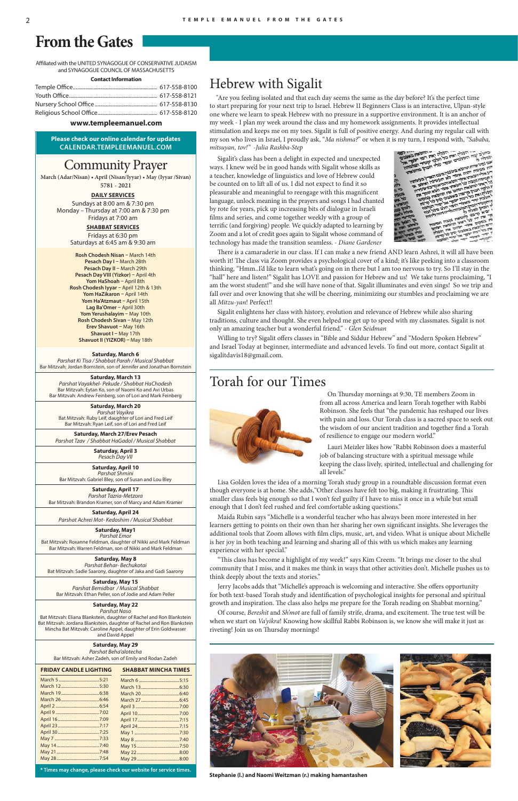Affiliated with the UNITED SYNAGOGUE OF CONSERVATIVE JUDAISM and SYNAGOGUE COUNCIL OF MASSACHUSETTS

**Contact Information**

#### **www.templeemanuel.com**

## **From the Gates**

**Please check our online calendar for updates CALENDAR.TEMPLEEMANUEL.COM**

## Community Prayer

**March (Adar/Nisan) • April (Nisan/Iyyar) • May (Iyyar /Sivan)** 

**5781 - 2021**

#### **Saturday, March 6**

*Parshat Ki Tisa / Shabbat Parah / Musical Shabbat* Bar Mitzvah: Jordan Bornstein, son of Jennifer and Jonathan Bornstein

**Saturday, March 13** *Parshat Vayakhel- Pekude / Shabbat HaChodesh*  Bar Mitzvah: Eytan Ko, son of Naomi Ko and Avi Urbas Bar Mitzvah: Andrew Feinberg, son of Lori and Mark Feinberg

**Saturday, March 20** *Parshat Vayikra*  Bat Mitzvah: Ruby Leif, daughter of Lori and Fred Leif Bar Mitzvah: Ryan Leif, son of Lori and Fred Leif

**Saturday, March 27/Erev Pesach** *Parshat Tzav / Shabbat HaGadol / Musical Shabbat*

> **Saturday, April 3** *Pesach Day VII*

**Saturday, April 10** *Parshat Shmini* Bar Mitzvah: Gabriel Bley, son of Susan and Lou Bley

**Saturday, April 17**  *Parshat Tazria-Metzora* Bar Mitzvah: Brandon Kramer, son of Marcy and Adam Kramer

**Saturday, April 24** *Parshat Achrei Mot- Kedoshim / Musical Shabbat*

#### **Saturday, May1** *Parshat Emor*

Bat Mitzvah: Roxanne Feldman, daughter of Nikki and Mark Feldman Bar Mitzvah: Warren Feldman, son of Nikki and Mark Feldman

**Saturday, May 8** *Parshat Behar- Bechukotai* Bat Mitzvah: Sadie Saarony, daughter of Jaka and Gadi Saarony

**Saturday, May 15**

*Parshat Bemidbar / Musical Shabbat* Bar Mitzvah: Ethan Peller, son of Jodie and Adam Peller

**Saturday, May 22** *Parshat Naso* Bat Mitzvah: Eliana Blankstein, daughter of Rachel and Ron Blankstein Bat Mitzvah: Jordana Blankstein, daughter of Rachel and Ron Blankstein

Mincha Bat Mitzvah: Caroline Appel, daughter of Erin Goldwasser and David Appel

**Saturday, May 29**

*Parshat Beha'alotecha*  Bar Mitzvah: Asher Zadeh, son of Emily and Rodan Zadeh

**DAILY SERVICES** Sundays at 8:00 am & 7:30 pm Monday – Thursday at 7:00 am & 7:30 pm Fridays at 7:00 am

> **SHABBAT SERVICES** Fridays at 6:30 pm

Saturdays at 6:45 am & 9:30 am

| <b>FRIDAY CANDLE LIGHTING</b> | <b>SHABBAT MINCHA TIMES</b> |
|-------------------------------|-----------------------------|
|                               |                             |
|                               |                             |
|                               |                             |
|                               |                             |
|                               |                             |
|                               |                             |
|                               |                             |
|                               |                             |
|                               |                             |
|                               |                             |
|                               |                             |
|                               |                             |
|                               |                             |

## Hebrew with Sigalit

 "Are you feeling isolated and that each day seems the same as the day before? It's the perfect time to start preparing for your next trip to Israel. Hebrew II Beginners Class is an interactive, Ulpan-style one where we learn to speak Hebrew with no pressure in a supportive environment. It is an anchor of my week - I plan my week around the class and my homework assignments. It provides intellectual stimulation and keeps me on my toes. Sigalit is full of positive energy. And during my regular call with my son who lives in Israel, I proudly ask, "*Ma nishma?*" or when it is my turn, I respond with, *"Sababa, mitsuyan, tov!" -Julia Rashba-Step*

Sigalit's class has been a delight in expected and unexpected ways. I knew we'd be in good hands with Sigalit whose skills as a teacher, knowledge of linguistics and love of Hebrew could be counted on to lift all of us. I did not expect to find it so pleasurable and meaningful to reengage with this magnificent language, unlock meaning in the prayers and songs I had chanted by rote for years, pick up increasing bits of dialogue in Israeli films and series, and come together weekly with a group of terrific (and forgiving) people. We quickly adapted to learning by Zoom and a lot of credit goes again to Sigalit whose command of technology has made the transition seamless. *- Diane Gardener*



There is a camaraderie in our class. If I can make a new friend AND learn Ashrei, it will all have been worth it! The class via Zoom provides a psychological cover of a kind; it's like peeking into a classroom thinking, "Hmm..I'd like to learn what's going on in there but I am too nervous to try. So I'll stay in the "hall" here and listen!" Sigalit has LOVE and passion for Hebrew and us! We take turns proclaiming, "I am the worst student!" and she will have none of that. Sigalit illuminates and even sings! So we trip and fall over and over knowing that she will be cheering, minimizing our stumbles and proclaiming we are all *Mitzu-yan*! Perfect!!

Sigalit enlightens her class with history, evolution and relevance of Hebrew while also sharing traditions, culture and thought. She even helped me get up to speed with my classmates. Sigalit is not only an amazing teacher but a wonderful friend." - *Glen Seidman*

Willing to try? Sigalit offers classes in "Bible and Siddur Hebrew" and "Modern Spoken Hebrew" and Israel Today at beginner, intermediate and advanced levels. To find out more, contact Sigalit at sigalitdavis18@gmail.com.

**\* Times may change, please check our website for service times.**

**Rosh Chodesh Nisan –** March 14th **Pesach Day I –** March 28th **Pesach Day II –** March 29th **Pesach Day VIII (Yizkor) –** April 4th **Yom HaShoah –** April 8th **Rosh Chodesh Iyyar –** April 12th & 13th **Yom HaZikaron –** April 14th **Yom Ha'Atzmaut –** April 15th **Lag Ba'Omer –** April 30th **Yom Yerushalayim –** May 10th **Rosh Chodesh Sivan –** May 12th **Erev Shavuot –** May 16th **Shavuot I –** May 17th **Shavuot II (YIZKOR) –** May 18th

## Torah for our Times



 On Thursday mornings at 9:30, TE members Zoom in from all across America and learn Torah together with Rabbi Robinson. She feels that "the pandemic has reshaped our lives with pain and loss. Our Torah class is a sacred space to seek out the wisdom of our ancient tradition and together find a Torah of resilience to engage our modern world."

Lauri Meizler likes how "Rabbi Robinson does a masterful job of balancing structure with a spiritual message while keeping the class lively, spirited, intellectual and challenging for all levels."

Lisa Golden loves the idea of a morning Torah study group in a roundtable discussion format even though everyone is at home. She adds,"Other classes have felt too big, making it frustrating. This smaller class feels big enough so that I won't feel guilty if I have to miss it once in a while but small enough that I don't feel rushed and feel comfortable asking questions."

Maida Rubin says "Michelle is a wonderful teacher who has always been more interested in her learners getting to points on their own than her sharing her own significant insights. She leverages the additional tools that Zoom allows with film clips, music, art, and video. What is unique about Michelle is her joy in both teaching and learning and sharing all of this with us which makes any learning experience with her special."

"This class has become a highlight of my week!" says Kim Creem. "It brings me closer to the shul community that I miss, and it makes me think in ways that other activities don't. Michelle pushes us to think deeply about the texts and stories."

Jerry Jacobs adds that "Michelle's approach is welcoming and interactive. She offers opportunity

for both text-based Torah study and identification of psychological insights for personal and spiritual growth and inspiration. The class also helps me prepare for the Torah reading on Shabbat morning."

Of course, *Bereshit* and *Sh'mot* are full of family strife, drama, and excitement. The true test will be when we start on *Va'yikra*! Knowing how skillful Rabbi Robinson is, we know she will make it just as riveting! Join us on Thursday mornings!



**Stephanie (l.) and Naomi Weitzman (r.) making hamantashen**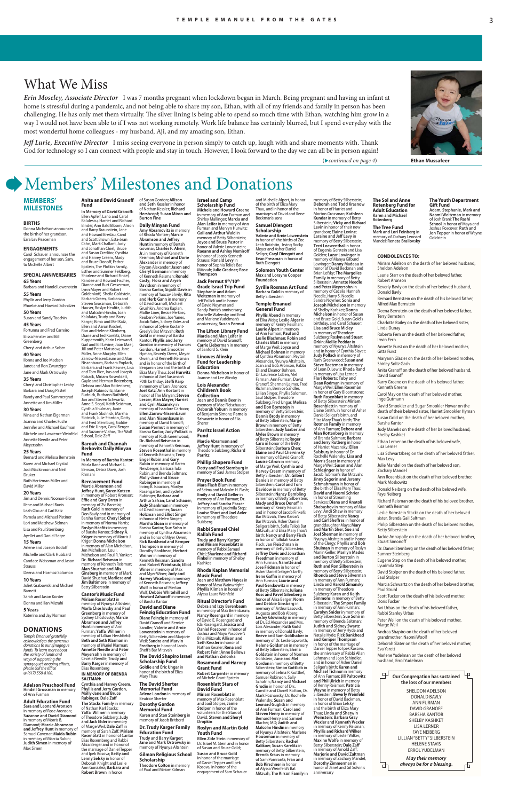## Members' Milestones and Donations

#### **MEMBERS' MILESTONES**

#### **BIRTHS**

Donna Michelson announces the birth of her grandson, Ezra Lev Peaceman

#### **ENGAGEMENTS** Carol Schauer announces the

engagement of her son, Sam, to Michelle Albert **SPECIAL ANNIVERSARIES**

**65 Years** Barbara and Harold Lowenstein **55 Years** Phyllis and Jerry Gordon Phoebe and Howard Schnitzer **50 Years** Susan and Sandy Toochin **45 Years** Fortunna and Fred Carreiro Elissa Fenster and Bill Greenberg Cheryl and Arthur Sober **40 Years** Ilonna and Joe Madsen Janet and Ron Zwanziger Jane and Mark Ostrowsky **35 Years** Cheryl and Christopher Leahy Barbara and Doug Pastel Randy and Paul Summergrad Annette and Jim Miller **30 Years** Nina and Nathan Eigerman Joanna and Charles Fuchs Jennifer and Michael Kaufman

Michele and Lawrence Weinfeld Annette Needle and Peter Meyersohn **25 Years**

#### Bernard and Melissa Bernstein

Karen and Michael Crystal Jodi Mackinnon and Neil Druker Ruth Hertzman Miller and David Miller

#### **20 Years**

Jim and Dennis Noonan-Sloan Ilene and Michael Bunis Leah Oko and Carl Katz Pamela and Michael Pistiner Lori and Matthew Sidman Lisa and Paul Sternburg Ayellet and Daniel Segre

**15 Years** Arlene and Joseph Bodoff Michelle and Clark Hubbard Candace Weissman and Jason **Strauss** Deena and Hormoz Solomon

**10 Years** Juliet Grabowski and Michael

Barnett Sarah and Jason Konter Donna and Ilan Mizrahi

#### **5 Years**

Katerina and Jay Norman

#### **DONATIONS**

*Temple Emanuel gratefully acknowledges the generous donations to our synagogue funds. To learn more about the variety of funds and ways of supporting the synagogue's ongoing efforts, please call the office @ (617) 558-8100.*

#### **Adelson Preschool Fund Hindell Grossman** in memory of Ann Furman

**Adult Education Fund Sara and Leonard Aronson**  in memory of Rose Aronson; **Suzanne and David Diamond**  in memory of Morris B. Diamond; **Marcie Abramson and Jeffrey Hunt** in memory of Samuel Govenar; **Maida Rubin**  in memory of Marcia Rubin; **Judith Simen** in memory of Max Simen

#### **CONDOLENCES TO:**

Peter Weil on the death of his beloved mother, Marge Weil

Miriam Adelson on the death of her beloved husband, Sheldon Adelson Laurie Starr on the death of her beloved father, Robert Aronson Beverly Bavly on the death of her beloved husband, Donald Bavly Bernard Bernstein on the death of his beloved father, **Alfred Max Bernstein** Deena Bernstein on the death of her beloved father, Terry Bernstein Charlotte Bailey on the death of her beloved sister, Linda Dunay Roberta Fern on the death of her beloved father, Irwin Fern Annette Furst on the death of her beloved mother, Gitta Furst Maryann Glazier on the death of her beloved mother, Shirley Soltz Gash Anita Granoff on the death of her beloved husband, David Granoff Barry Greene on the death of his beloved father, Kenneth Greene Carol May on the death of her beloved mother, Inge Gutmann David Smookler and Sugar Smookler Howar on the death of their beloved sister, Harriet Smookler Hyman Susan Gold on the death of her beloved mother, Barsha Kantor Judy Manelis on the death of her beloved husband, Shelby Kashket Ethan Lerner on the death of his beloved wife, Lisa Lerner Lisa Schwartzberg on the death of her beloved father, Max Levy Julie Mandel on the death of her beloved son, Zachary Mandel Ann Rosenblatt on the death of her beloved brother, Mark Moskowitz Donald Neiberg on the death of his beloved wife, Faye Neiberg Richard Reisman on the death of his beloved brother, Kenneth Reisman Leslie Bornstein Stacks on the death of her beloved sister, Brenda Gail Saltman Philip Silberstein on the death of his beloved mother, Betty Silberstein Jackie Annapolle on the death of her beloved brother, Stuart Simonoff

Dr. Daniel Steinberg on the death of his beloved father, Sumner Steinberg

Eugene Step on the death of his beloved mother, Lyudmila Step

David Stolper on the death of his beloved father, Saul Stolper

Marcia Schwartz on the death of her beloved brother,



Scott Tucker on the death of his beloved mother, Doris Tucker

Avi Urbas on the death of his beloved father, Rabbi Stanley Urbas

Andrea Shapiro on the death of her beloved grandmother, Naomi Woolf

Deborah Slater on the death of her beloved mother, Eva Yarett

Marlene Yudelman on the death of her beloved husband, Errol Yudelman

#### of Susan Gordon; **Allison and Seth Kessler** in honor of Nathan Kessler; **Richard Hershcopf; Susan Miron and**

**Abramson and Jeffrey Hunt** in memory of Bertah

**Casty**; **Flora and Aryeh** 

Barsha Kantor; **Sigalit Davis** in memory of Yaacov Shvily; **Rita and Herb Gann** in memory of David Granoff, Michael Grushkin, Andrea Kaplan, Mollie Liner, Bessie Perkins, Reuben Perkins, Joe Yanes, Jacob Yates, Sidney Yates and

Greely's Bat Mitzvah; **Ruth Gold** in memory of Barsha Kantor; **Phyllis and Jerry Gordon** in memory of Frances Gordon, Harriet Smookler Hyman, Beverly Owen, Meyer Owen, and Kenneth Reisman and in honor of the birth of Benjamin Leo and the birth of

70th birthday; **Steffi Karp** in memory of Leni Aronson; **Joel Katz**; **Ann Kostant** in honor of The Minyan; **Steven Lesser**; **Alan Mayer**; **Harriet and Cyril Mazansky** in memory of Issadore Cartoon; **Ellen Zarrow-Nissenbaum and Alan Nissenbaum** in memory of David Granoff;

memory of Ruth Greenwood; **Dr. Richard Reisman** in memory of Kenneth Reisman; **Steven Rosenthal** in memory of Kenneth Reisman; **Terry** 

**Amy Abramovitz** in memory of Rhoda Mintzer; **Marcie**  Govenar; **Charles F. Ahern, Jr.** in memory of Kenneth Reisman; **Michael and Dorie Alexander** in memory of Peyton Alexander; **Jason and Cheryl Berman** in memory of Kenneth Reisman; **Ronald**  in memory of Ann Furman and Shirley Mallinger; **Marcia and Alan Leifer** in memory of Ann Furman and Mervyn Hurwitz; **Gail and Arthur Wald** in memory of Betty Silberstein; **Joyce and Bruce Pastor** in .<br>nor of Valerie Lowenstein **Raeann and Ashley Nemiroff**  in honor of Jacob Kenneth Strauss; **Ronald Levy** in honor of Sophia Telio's Bat Mitzvah; **Julie Gradner; Rose Thompson**

**Rubinger** in memory of Irving B. Isaacson, Marilyn Rosengarten, and Sydelle Rubinger; **Barbara and Arthur Safran**; **Carol Schauer**; **Judy Shankman** in memory of David Sommer; **Susan Holzman and Elliot Singer**  in honor of Helen Singer; **Marsha Sloan** in memory of Barsha Kantor; **Sue Sohn** in memory of Cynthia Abramson and in honor of Myer Owen; **Rick Bankhead and Kemper Thompson** in memory of Dorothy Bankhead; **Herbert Weiner** in memory of Kenneth Reisman; **Sandra and Robert Weintraub**; **Elliot Winer** in memory of Max and Myer Winer; **Judy and Harvey Wiseberg** in memory of Kenneth Reisman; **Jeffrey Wolf** in honor of Merton

Wolf; **Debbie Whitehill and Howard Zaharoff** in memory of Barsha Kantor **David and Diane Feinzig Education Fund Diane Feinzig** in memory of David Granoff and Bernice Sandler; **Valerie and Arnie Lowenstein** in memory of Betty Silberstein and Marjorie Weil; **Sandra and Marvin** 

Eliza Mary Thau; **Joel Hurwitz**  in honor of Joel Sussman's Joanne and Lee Alinsky **Lois Alexander Children's Book Collection Joan and Dennis Beer** in memory of Mae Fleischauer; **Deborah Yoburn** in memory of Benjamin Simons; **Pamela Schwartz** in honor of Elia

**Fredberg** in honor of Jacob Sheff's Bar Mitzvah **The David Shapiro Israel Scholarship Fund Goldie and Eric Ungar** in honor of the birth of Eliza

Mary Thau

**Susan Permut** in memory of Barsha Kantor; **Judy Pollack** in Sherer **Parritz Israel Action Fund**

**The David Sherter Memorial Fund Arlene London** in memory of Beatrice Sherter **Dorothy Gordon Memorial Fund Karen and Stan Steinberg** in memory of Jacob Britbord **Dr. Trudy Karger Family Education Fund Trudy and Barry Karger; Jane and Mark Ostrowsky** in memory of Nyunya Altshtein **Gilman Religious School** 

**Scholarship**

**Theodore Colton** in memory of Paul and Miriam Gilman

**Israel and Camp Scholarship Fund Michele and Howard Greene**

#### **Jack Permut 9th/10th Grade Israel Trip Fund Stephanie and Adam Weitzman** in memory of Jeff Follick and in honor of David Noymer and Sandy Puritz's anniversary, Rochelle Walensky and Errol and Marlene Yudelman's anniversary; **Susan Permut**

**The Lifson Library Fund Marcia and Alan Leifer** in memory of David Granoff; **Carrie Lieberman** in memory of Sanford S. Klein

#### **Linowes Alinsky Fund for Leadership Education Donna Michelson** in honor of

in memory of Theodo Sulzberg; **Karen and Keith Simmons** in memory of Betty Silberstein; **The Smoot Family** in memory of Ann Furman; **Carolyn Snider** in memory of Betty Silberstein; **Sue Sohn** in memory of Brenda Saltman; **Judith and Sidney Swartz**  in memory of Jerry Hyde and Natalie Hyde; **Rick Bankhead and Kemper Thompson**  in honor of the marriage of Daniel Tepper to Ipek Kosova the anniversary of Rabbi Allan Lehman and Joan Schindler, and in honor of Asher Daniel Seliger's birth; **Karen and Michael Tichnor** in memory of Ann Furman; **Jill Paltrowitz and Phil Ulrich** in memory of Kenny Reisman; **Patricia Wayne** in memory of Betty Silberstein; **Beverly Weinfeld** in honor of David Backman, in honor of Brian Lefsky, and the birth of Eliza Mary Thau; **Linda and Sherwin Weinstein**; **Barbara Gray Wexler and Kenneth Wexler** in memory of Kenny Reisman; **Phyllis and Richard Wilker** in memory of Lester Wilker; **Maxine Wolfe** in memory of Betty Silberstein; **Dale Zaff** in memory of Arnold Zaff; **Marjorie and David Zaltman** in memory of Zachary Mandel; **Dorothy Zimmerman** in honor of Janet and Gil Solvin's anniversary

Paul Struh

**Marcie Abramson and Jeffrey Hunt** in memory of Theodore Sulzberg; **Richard Parritz**

**Phillip Shapero Fund Dotty and Fred Sternburg** in memory of Saul James Stolper

#### **Prayer Book Fund Mara Flash Blum** in memory of Selma and Malcolm H. Flash; **Emily and David Geller** in memory of Ann Furman; **Dr. Jeffrey and Sandra Passer** in memory of Lyudmila Step; **Louise Short and Joel Axler** in memory of Theodore Sulzberg

**Rabbi Samuel Chiel Kallah Fund Trudy and Barry Karger** 

**and Miriam Rosenblatt** in memory of Rabbi Samuel Chiel; **Sharlene and Richard Finkel** in memory of Shelby Kashket

#### **Rhoda Kaplan Memorial Music Fund**

**Joan and Matthew Hayes** in honor of Maya Wainwright;

**Phyllis Kliman** in honor of Alyssa Laura Weinfeld

#### **Ritual Director's Fund Debra and Izzy Berenbaum** in memory of Max Berenbaum; **Nancy Rosengard** in memory of David E. Rosengard and Ida Rosengard; **Jessica and Daniel Poscover** in honor of Joshua and Maya Poscover's B'nai Mitzvah; **Allison and Seth Kessler** in honor of Nathan Kessler; **Rena and Robert Fein; Anne Bellows**

**and Nathan Zielonka Rosamond and Harvey Grant Fund** 

**Robert Carpenter** in memory of Michele Grant Epstein **Rosenblatt Stars of** 

#### **David Fund Miriam Rosenblatt** in

memory of Max Rosenblatt and Saul Stolper; **Jamie Stolper** in honor of the volunteers for the Stars of David; **Steven and Sheryl Dropkin**

#### **Roslyn and Martin Gold Youth Fund**

**Ellen Zide Stein** in memory of Dr. Israel M. Stein and in honor of Susan and Bruce Gold;

**Susan and Bruce Gold** in honor of the marriage of Daniel Tepper and Ipek Kosova, in honor of the engagement of Sam Schauer and Michelle Alpert, in honor of the birth of Eliza Mary Thau, and in honor of the marriages of David and Ilene Beckman's sons **Samuel Diengott** 

### **Scholarship Valerie and Arnie Lowenstein**

**Max and Lorayne Cooper** 

*Jeff Lurie, Executive Director* I miss seeing everyone in person simply to catch up, laugh with and share moments with. Thank God for technology so I can connect with people and stay in touch. However, I look forward to the day we can all be in person again!

> **Burton Fine Daily Minyan Fund Davidson** in memory of in honor of Sylvie Kostant-**In Memory of David Granoff:**<br>Ellen Apfelf, Lano and Carol<br>Balulescu, Harriet and Richard Binder, Ann Bald Bloom, Alison and Barry Braunstein, Jane and Howard Breslau, Carol and Scott Brown, Esta-Jean Cahn, Mark Challant, Judy and Jonathan Chiel, Bruce and Susan Creditor, Cynthia and Harvey Creem, Mady and Bruce Donoff, Esther Epstein, The Plotkin Family, Esther and Sumner Feldberg, Sharlene and Richard Finkel, Randee and Howard Fischer, Dianne and Burt Gesserman, Lynn Mayer and Robert Goldenkoff, Sheila Goldstein, Barbara Green, Barbara and Steven Grossman, Deborah Hauser, Roslyn Heafitz, Judith and Malcolm Hindin, Joan Kalafatas, Trudy and Barry Karger, Rima and Mel Katz, Ellen and Aaron Kischel, Ron and Helene Klimberg, Diane and Ted Korelitz, Diane Kuppersmith, Karin Leinwand, Gail and Bill Levine, Joan Mael, Jill and Peter Matusow, Jane Miller, Anne Murphy, Ellen Zarrow-Nissenbaum and Alan Nissenbaum, Barbara Poplack, Barbara and Frank Resnek, Lisa and Tom Rice, Iras and Joseph Roback, Miriam Rosenblatt,<br>Gayle and Herman Rotenberg, Debora and Alan Rottenberg, Joseph Rubinovitz, Elaine Rudnick, Ruthann Ruthfield, Jan and Steven Schwartz, Anne S. Segal, Keith Seidman, Cynthia Shulman, Janie and Frank Skolnick, Marsha Slotnick, Julie Stanton, Dotty and Fred Sternburg, Goldie and Eric Ungar, Carol Berger and Suzanne Vlahos, The Wolf School, Dale Zaff **Barouh and Channah**

in honor of the births of Zoe Leah Rotchtin, Irving Rocky Meyer and Asher Daniel Seliger; **Caryl Diengott and Evan Pressman** in honor of Ruth Diengott **Solomon Youth Center Terri Loewenthal** in honor Golden; **Lazar Lowinger** in memory of Manya Gilburd Brian Lefsky; **The Margolies** 

**Engel Rubin and Gary Rubin** in memory of Karen<br>Newberger, Barbara Tobi<br>Rubin, and Brenda Saltman; **Molly-Jane and Bruce In Memory of Barsha Kantor:** Marla Bane and Michael L. Benson, Debra Davis, Josh

> of Betty Silberstein; **Juliana Ross and Pavel Gilenberg** in honor of Aliza Berger; **Norm and Debbie Ginsberg** in memory of Arthur Lasovick, Augusta and Bob Alberg; **Lesley Glowinsky** in memory of Dr. Ed Alexander and Mrs. Lois Alexander; **Ruth Gold** in memory of Donald Bavly; **Reeve and Sam Goldhaber** in memory of Dr. Leslie Lipworth; **Helene Goldsman** in memory of Betty Silberstein; **Sheila Goldstein** in honor of Norman Goldstein; **June and Mel Gordon** in memory of Betty Silberstein; **Simon Gottlieb** in memory of Selma R. Gottlief,<br>Samuel Robinson, Sally<br>Schafrin; **Nancy and Michael Grodin** in honor of Drs. Camille and Darrell Kotton, Dr. Mark Poznansky, Dr. Rochelle Walensky; **Susan and Leonard Guglick i**n memory of Ann Furman; **Carol and Steven Henry** in memory of Bernard Henry and Samuel Blacher, MD; **Judith and Malcolm Hindin** in memory of Nyunya Altshtein; **Marlene Houseman** in memory of Betty Silberstein; **Rachel Kalikow**; **Susan Karelitz** in memory of Betty Silberstein; **Brenda Kraus** in memory of Sam Pomrantz; **Fran and Bob Kirschner** in honor of Alyssa Weinfeld's Bat Mitzvah; **The Kirson Family** in

**Foundation Syrille Rosman Art Fund Barbara Gold** in memory of Betty Silberstein **Temple Emanuel General Fund Phyllis Abend** in memory of Elka Weiss; **Leslie Alger** in memory of Kenny Reisman; **Laurie Alpert** in memory of Ann Furman; **Paul and Leslie Blachman**; **Robin and Charles Blatt** in memory of Marge Weil; **Joyce and Michael Bohnen** in memory of Cynthia Abramson, Peyton Alexander, Nyunya Altshtein, Joan and Bob Aronson, Rabbi Eli and Eleanor Bohnen, Dr. Laurence Coben, Mel<br>Farman, Ann Furman, David Granoff, Sherman Lejmer, Fred Richman, Bernice Sandler, Lillian Singer, Phyllis Solomon, Saul Stolper, Theodore Sulzberg, Fred Ungar; **Melissa and Don Bornstein** in memory of Betty Silberstein; **Dennis Brody** in memory of Betty Silberstein; **Marge Brown** in memory of Betty Silberstein; **Judy Garber and Myles Brown** in memory of Betty Silberstein; **Roger Caro** in honor of the Betty Silberstein; **Barbara Chen**; **Elaine and Paul Chervinsky** in memory of David Granoff; **Louise Citron** in memory of Marge Weil; **Cynthia and Harvey Creem** in memory of Betty Silberstein; **Dr. Gilbert Daniels** in memory of Betty Silberstein; **Carol and Tom Davidow** in memory of Betty Silberstein; **Nancy Dembling** in memory of Betty Silberstein; **Mady and Bruce Donoff** in **Family** in memory of Betty Silberstein; **Annette Needle and Peter Meyersohn** in memory of Cecelia Hannah Needle, Harry S. Needle, Sandra Noymer; **Sonia and Joseph Michelson** in memory of Shelby Kashket; **Donna Michelson** in honor of Susan and Bruce Gold, Susan Gold's birthday, and Carol Schauer; **Lisa and Bruce Micley**  in memory of Theodore Sulzberg; **Roslyn and Stuart Orkin**; **Mollie Peddar** in memory of Nyunya Altshtein and in honor of Cynthia Slavet; **Judy Pollack** in memory of Ruth Greenwood; **Susan and Steve Raetzman** in memory of Leon D. Lewis; **Rhoda Rand** in memory of Lisa Lerner; **Flori Roberts**; **Toby and Dean Rodman** in memory of Marge Weil; **Ellen Roseman**  in honor of Gary Bloomstone; **Ruth Rosenblatt** in memory of Betty Silberstein; **Miriam Rosenblatt** in memory of Elaine Smith, in honor of Asher Daniel Seliger's birth, and Eliza Mary Thau's birth; **The Rotman Family** in memory of Ann Furman; **Debora and Alan Rottenberg** in memory of Brenda Saltman; **Barbara and Jerry Rutberg** in honor of Harriet Mazansky; **Ellen Salsbury** in honor of Dr. Rochelle Walensky; **Lisa and Morris Sazer** in memory of Marge Weil; **Susan and Alan Schlesinger** in honor of Jacob Tubman's Bar Mitzvah; **Jinny Sagorin and Jeremy Schmahmann** in honor of the birth of Eliza Mary Thau; **David and Naomi Schrier** in honor of Streaming Services; **Diana and Anatoli** 

memory of Betty Silberstein; **Deborah and Todd Krasnow** in honor of Harriet and Morton Grossman; **Kathleen Kundar** in memory of Betty Silberstein; **Vicky and Richard Levin** in honor of their new grandson; **Elaine Levine**; **Laraine and Jeff Levy** in memory of Betty Silberstein;

of Eugenia Gerstein and Lisa

memory of Kenny Reisman and in honor of Jacob Finkel's Bar Mitzvah, Theo Karon's Bar Mitzvah, Asher Daniel Seliger's birth, Sofia Telio's Bat Mitzvah, and Eliza Mary Thau's birth; **Nancy and Barry Fisch** in honor of Tallulah Grace Fisch; **Jan Fleischman** in memory of Betty Silberstein; **Jeffrey Davis and Jonathan Freedman** in memory of Ann Furman; **Nanette and Jose Fridman** in honor of Asher Daniel Seliger's birth; **Irene Gaffin** in memory of Ann Furman; **Laurie and Paul Gerskowitz** in memory **Shabashov** in memory of Max Levy; **Andi Shaw** in memory of Betty Silberstein**; Nancy and Carl Sheffres** in honor of granddaughter Maya; **Mary and Martin Sher**; **Sue and Joel Sherman** in memory of Nyunya Altshtein and in honor of the Clergy; **Phyllis and Bob Shulman** in memory of Roslyn Manin Geller; **Marilyn Mades and Burton Silberstein** in memory of Betty Silberstein; **Ruth and Ron Silberstein** in memory of Betty Silberstein; **Rhonda and Steve Silverman** in memory of Ann Furman; **Linda and Harold Simansky** 

Lowinger; **Danny Madeau** in honor of David Beckman and

#### **Anita and David Granoff Fund**

#### **Berkovits Daily Minyan Fund**

Rhmani

#### **Bereavement Fund Marcie Abramson and Jeffrey Hunt, Karen Kotzen**

in memory of Robert Aronson; **Effie and Gary Orren** in memory of Zvi Barzelai; **Ruth Gold** in memory of Don Bavly and in memory of Barsha Kantor; **Cheryl Sober** in memory of Norma Harris; **Roslyn Heafitz** in memory of Barsha Kantor; **Sidney A. Kriger** in memory of Morris J. Kriger; **Donna Michelson**  in memory of Alan Michelson, Jen Michelson, Lou I. Michelson and Paul R. Yanker; **Dr. Richard Reisman** in memory of Kenneth Reisman; **Alan Shuchat and Alix Ginsburg** in memory of Mark David Shuchat; **Marliese and Jim Baltimore** in memory of Betty Silberstein

**Cantor's Music Fund Miriam Rosenblatt** in memory of Nyunya Altshtein; **Marla Choslovsky and Paul Greenberg** in memory of Sydney Choslovsky; **Marcie Abramson and Jeffrey Hunt** in memory of Ann Furman; **Yaffa Willner** in memory of Lillian Hershfield; **Beth and Seth Klarman** in memory of Muriel Klarman; **Annette Needle and Peter Meyersohn** in memory of Cecelia Needle; **Trudy and Barry Karger** in memory of Elias Rosemberg

#### **IN MEMORY OF BRENDA SALTMAN:**

**Cynthia and Harvey Creem, Phyllis and Jerry Gordon, Molly-Jane and Bruce Rubinger, Dale Zaff The Stacks Family** in memory of Nathan Karl Stacks; **Yaffa Willner** in memory of Theodore Sulzberg; **Judy and Jack Elder** in memory of Marge Weil; **Dale Zaff** in memory of Sarah Zaff; **Miriam Rosenblatt** in honor of Cantor Elias Rosemberg and Rabbi Aliza Berger and in honor of the marriage of Daniel Tepper and Ipek Kosova; **Betty and Lenny Selsky** in honor of Deborah Knight and Leslie Ann Gonzalez; **Barbara and** 

**Robert Brown** in honor

**The Sol and Anne Rotenberg Fund for Adult Education Karen and Michael Rotenberg**

**The Tree Fund Mark and Lori Feinberg** in memory of Zachary Leonard Mandel; **Renata Brailovsky** **The Youth Department Gift Fund Adam, Stephanie, Mark and Naomi Weitzman** in memory of Josh Erani; **The Rashi School** in honor of Maya and Joshua Poscover; **Ruth and Jon Tepper** in honor of Wayne Goldstein



## What We Miss

*Erin Moseley, Associate Director* I was 7 months pregnant when lockdown began in March. Being pregnant and having an infant at home is stressful during a pandemic, and not being able to share my son, Ethan, with all of my friends and family in person has been challenging. He has only met them virtually. The silver lining is being able to spend so much time with Ethan, watching him grow in a way I would not have been able to if I was not working remotely. Work life balance has certainly blurred, but I spend everyday with the most wonderful home colleagues - my husband, Aji, and my amazing son, Ethan.

(*continued on page 4*) **Ethan Mussafeer**